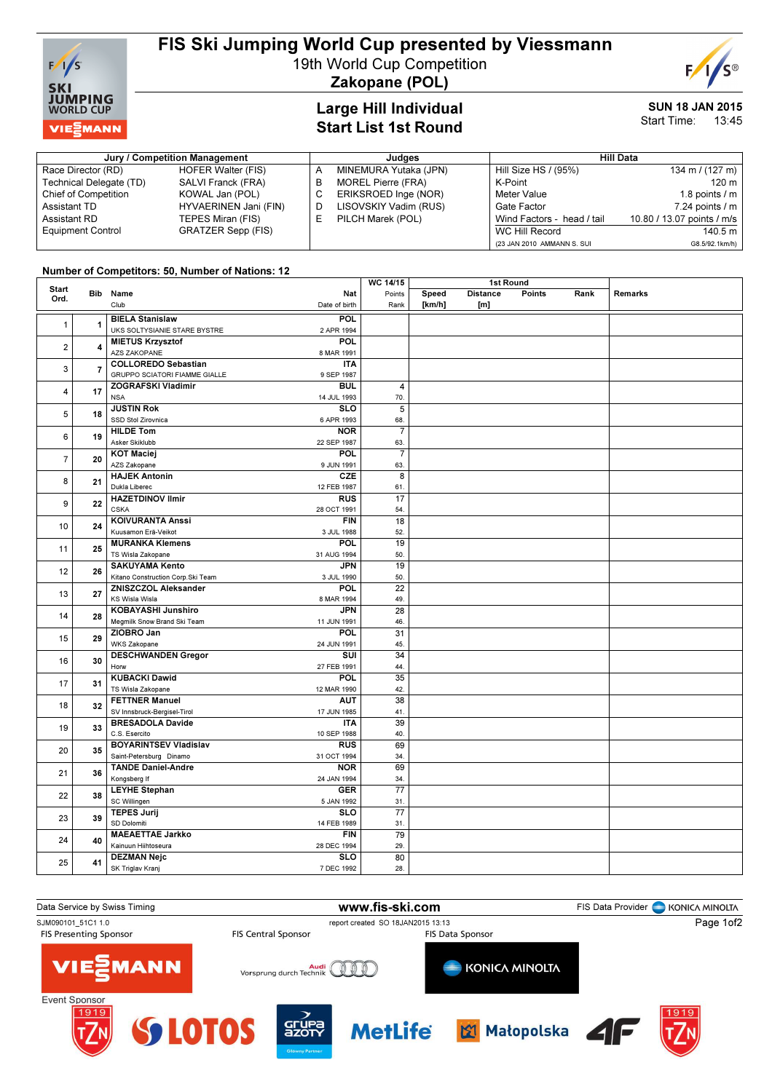

## FIS Ski Jumping World Cup presented by Viessmann

19th World Cup Competition

Zakopane (POL)

# Large Hill Individual

#### SUN 18 JAN 2015 Start Time: 13:45

## Start List 1st Round Jury / Competition Management Judges Hill Data

| <b>JULY / CONNECTION MANAGEMENT</b> |                       |  | Juuuts                    |                            |                            |  |
|-------------------------------------|-----------------------|--|---------------------------|----------------------------|----------------------------|--|
| Race Director (RD)                  | HOFER Walter (FIS)    |  | MINEMURA Yutaka (JPN)     | Hill Size HS / (95%)       | 134 m / $(127 \text{ m})$  |  |
| Technical Delegate (TD)             | SALVI Franck (FRA)    |  | <b>MOREL Pierre (FRA)</b> | K-Point                    | $120 \text{ m}$            |  |
| Chief of Competition                | KOWAL Jan (POL)       |  | ERIKSROED Inge (NOR)      | Meter Value                | 1.8 points $\sqrt{m}$      |  |
| Assistant TD                        | HYVAERINEN Jani (FIN) |  | LISOVSKIY Vadim (RUS)     | Gate Factor                | $7.24$ points $/ m$        |  |
| Assistant RD                        | TEPES Miran (FIS)     |  | PILCH Marek (POL)         | Wind Factors - head / tail | 10.80 / 13.07 points / m/s |  |
| <b>Equipment Control</b>            | GRATZER Sepp (FIS)    |  |                           | WC Hill Record             | 140.5 m                    |  |
|                                     |                       |  |                           | (23 JAN 2010 AMMANN S. SUI | G8.5/92.1km/h)             |  |

### Number of Competitors: 50, Number of Nations: 12

|                      |                | <b>Hampor of Sompotitors, 60, Hampor of Hations.</b> The |                           | WC 14/15        |        | 1st Round       |        |      |         |
|----------------------|----------------|----------------------------------------------------------|---------------------------|-----------------|--------|-----------------|--------|------|---------|
| <b>Start</b><br>Ord. |                | Bib Name                                                 | Nat                       | Points          | Speed  | <b>Distance</b> | Points | Rank | Remarks |
|                      |                | Club                                                     | Date of birth             | Rank            | [km/h] | [m]             |        |      |         |
|                      |                | <b>BIELA Stanislaw</b>                                   | POL                       |                 |        |                 |        |      |         |
| $\mathbf{1}$         | $\overline{1}$ | UKS SOLTYSIANIE STARE BYSTRE                             | 2 APR 1994                |                 |        |                 |        |      |         |
|                      |                | <b>MIETUS Krzysztof</b>                                  | POL                       |                 |        |                 |        |      |         |
| $\mathbf 2$          | $\overline{4}$ | AZS ZAKOPANE                                             | 8 MAR 1991                |                 |        |                 |        |      |         |
|                      |                | <b>COLLOREDO Sebastian</b>                               | <b>ITA</b>                |                 |        |                 |        |      |         |
| 3                    | $\overline{7}$ | GRUPPO SCIATORI FIAMME GIALLE                            | 9 SEP 1987                |                 |        |                 |        |      |         |
|                      |                | <b>ZOGRAFSKI Vladimir</b>                                | <b>BUL</b>                | 4               |        |                 |        |      |         |
| 4                    | 17             | <b>NSA</b>                                               | 14 JUL 1993               | 70.             |        |                 |        |      |         |
|                      | 18             | <b>JUSTIN Rok</b>                                        | <b>SLO</b>                | 5               |        |                 |        |      |         |
| 5                    |                | SSD Stol Zirovnica                                       | 6 APR 1993                | 68.             |        |                 |        |      |         |
|                      |                | <b>HILDE Tom</b>                                         | <b>NOR</b>                | $\overline{7}$  |        |                 |        |      |         |
| 6                    | 19             | Asker Skiklubb                                           | 22 SEP 1987               | 63.             |        |                 |        |      |         |
|                      |                | <b>KOT Maciej</b>                                        | <b>POL</b>                | $\overline{7}$  |        |                 |        |      |         |
| $\overline{7}$       | 20             | AZS Zakopane                                             | 9 JUN 1991                | 63.             |        |                 |        |      |         |
|                      |                | <b>HAJEK Antonin</b>                                     | CZE                       | $\overline{8}$  |        |                 |        |      |         |
| 8                    | 21             | Dukla Liberec                                            | 12 FEB 1987               | 61.             |        |                 |        |      |         |
|                      |                | <b>HAZETDINOV Ilmir</b>                                  | <b>RUS</b>                | 17              |        |                 |        |      |         |
| 9                    | 22             | <b>CSKA</b>                                              | 28 OCT 1991               | 54.             |        |                 |        |      |         |
|                      |                | <b>KOIVURANTA Anssi</b>                                  | <b>FIN</b>                | $\overline{18}$ |        |                 |        |      |         |
| 10                   | 24             | Kuusamon Erä-Veikot                                      | 3 JUL 1988                | 52.             |        |                 |        |      |         |
|                      |                | <b>MURANKA Klemens</b>                                   | POL                       | 19              |        |                 |        |      |         |
| 11                   | 25             | TS Wisla Zakopane                                        | 31 AUG 1994               | 50.             |        |                 |        |      |         |
|                      |                | <b>SAKUYAMA Kento</b>                                    | <b>JPN</b>                | 19              |        |                 |        |      |         |
| 12                   | 26             | Kitano Construction Corp.Ski Team                        | 3 JUL 1990                | 50.             |        |                 |        |      |         |
|                      | 27             | ZNISZCZOL Aleksander                                     | POL                       | $\overline{22}$ |        |                 |        |      |         |
| 13                   |                | KS Wisla Wisla                                           | 8 MAR 1994                | 49.             |        |                 |        |      |         |
|                      | 28             | <b>KOBAYASHI Junshiro</b>                                | <b>JPN</b>                | 28              |        |                 |        |      |         |
| 14                   |                | Megmilk Snow Brand Ski Team                              | 11 JUN 1991               | 46.             |        |                 |        |      |         |
| 15                   | 29             | ZIOBRO Jan                                               | <b>POL</b>                | 31              |        |                 |        |      |         |
|                      |                | <b>WKS Zakopane</b>                                      | 24 JUN 1991               | 45.             |        |                 |        |      |         |
| 16                   | 30             | <b>DESCHWANDEN Gregor</b>                                | SUI                       | 34              |        |                 |        |      |         |
|                      |                | Horw                                                     | 27 FEB 1991               | 44.             |        |                 |        |      |         |
| 17                   | 31             | <b>KUBACKI Dawid</b>                                     | <b>POL</b>                | 35              |        |                 |        |      |         |
|                      |                | TS Wisla Zakopane                                        | 12 MAR 1990               | 42.             |        |                 |        |      |         |
| 18                   | 32             | <b>FETTNER Manuel</b>                                    | <b>AUT</b>                | 38              |        |                 |        |      |         |
|                      |                | SV Innsbruck-Bergisel-Tirol                              | 17 JUN 1985               | 41.             |        |                 |        |      |         |
| 19                   | 33             | <b>BRESADOLA Davide</b>                                  | <b>ITA</b>                | 39              |        |                 |        |      |         |
|                      |                | C.S. Esercito                                            | 10 SEP 1988               | 40.             |        |                 |        |      |         |
| 20                   | 35             | <b>BOYARINTSEV Vladislav</b>                             | <b>RUS</b>                | 69              |        |                 |        |      |         |
|                      |                | Saint-Petersburg Dinamo                                  | 31 OCT 1994               | 34.             |        |                 |        |      |         |
| 21                   | 36             | <b>TANDE Daniel-Andre</b>                                | <b>NOR</b>                | 69              |        |                 |        |      |         |
|                      |                | Kongsberg If                                             | 24 JAN 1994               | 34.             |        |                 |        |      |         |
| 22                   | 38             | <b>LEYHE Stephan</b>                                     | <b>GER</b>                | 77              |        |                 |        |      |         |
|                      |                | SC Willingen                                             | 5 JAN 1992                | 31.             |        |                 |        |      |         |
| 23                   | 39             | <b>TEPES Jurij</b>                                       | <b>SLO</b>                | 77              |        |                 |        |      |         |
|                      |                | SD Dolomiti                                              | 14 FEB 1989               | 31.             |        |                 |        |      |         |
| 24                   | 40             | <b>MAEAETTAE Jarkko</b><br>Kainuun Hiihtoseura           | <b>FIN</b>                | 79              |        |                 |        |      |         |
|                      |                |                                                          | 28 DEC 1994<br><b>SLO</b> | 29.             |        |                 |        |      |         |
| 25                   | 41             | <b>DEZMAN Nejc</b>                                       |                           | 80              |        |                 |        |      |         |
|                      |                | SK Triglav Kranj                                         | 7 DEC 1992                | 28.             |        |                 |        |      |         |